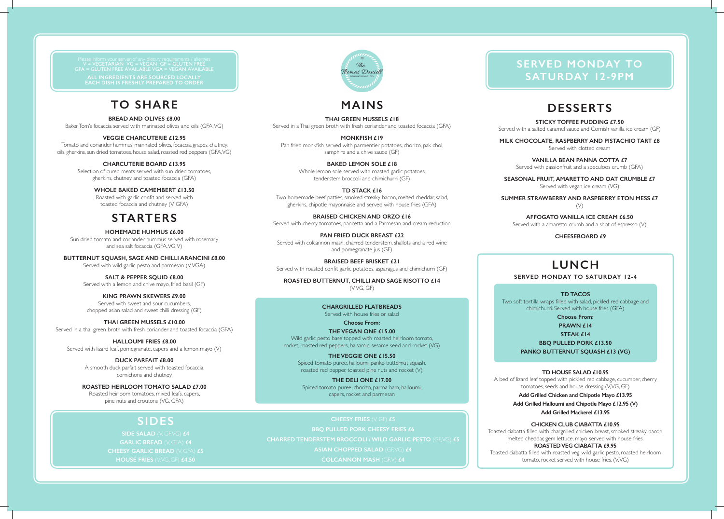### **MAINS**

#### **THAI GREEN MUSSELS £18**

Served in a Thai green broth with fresh coriander and toasted focaccia (GFA)

### **MONKFISH £19**

Pan fried monkfish served with parmentier potatoes, chorizo, pak choi, samphire and a chive sauce (GF)

#### **BAKED LEMON SOLE £18**

Whole lemon sole served with roasted garlic potatoes, tenderstem broccoli and chimichurri (GF)

#### **TD STACK £16**

Two homemade beef patties, smoked streaky bacon, melted cheddar, salad, gherkins, chipotle mayonnaise and served with house fries (GFA)

**BRAISED CHICKEN AND ORZO £16** Served with cherry tomatoes, pancetta and a Parmesan and cream reduction

### **PAN FRIED DUCK BREAST £22**

Served with colcannon mash, charred tenderstem, shallots and a red wine and pomegranate jus (GF)

**BRAISED BEEF BRISKET £21** Served with roasted confit garlic potatoes, asparagus and chimichurri (GF)

**ROASTED BUTTERNUT, CHILLI AND SAGE RISOTTO £14** (V, VG, GF)

# **TO SHARE**

#### **BREAD AND OLIVES £8.00**

Baker Tom's focaccia served with marinated olives and oils (GFA, VG)

### **VEGGIE CHARCUTERIE £12.95**

Tomato and coriander hummus, marinated olives, focaccia, grapes, chutney, oils, gherkins, sun dried tomatoes, house salad, roasted red peppers (GFA, VG)

#### **CHARCUTERIE BOARD £13.95**

Selection of cured meats served with sun dried tomatoes, gherkins, chutney and toasted focaccia (GFA)

> **SUMMER STRAWBERRY AND RASPBERRY ETON MESS £7**   $(V)$

#### **WHOLE BAKED CAMEMBERT £13.50**

Roasted with garlic confit and served with toasted focaccia and chutney (V, GFA)

### **STARTERS**

#### **HOMEMADE HUMMUS £6.00**

**CHEESY FRIES** (V, GF) **£5 BBQ PULLED PORK CHEESY FRIES £6 CHARRED TENDERSTEM BROCCOLI / WILD GARLIC PESTO (GF, VG) £5 ASIAN CHOPPED SALAD** (GF, VG)  $f4$ **COLCANNON MASH** (GF, V) **£4** 

Sun dried tomato and coriander hummus served with rosemary and sea salt focaccia (GFA, VG, V)

**BUTTERNUT SQUASH, SAGE AND CHILLI ARANCINI £8.00**

Served with wild garlic pesto and parmesan (V, VGA)

### **SALT & PEPPER SQUID £8.00**

Served with a lemon and chive mayo, fried basil (GF)

#### **KING PRAWN SKEWERS £9.00**

Served with sweet and sour cucumbers, chopped asian salad and sweet chilli dressing (GF)

#### **THAI GREEN MUSSELS £10.00**

Served in a thai green broth with fresh coriander and toasted focaccia (GFA)

#### **HALLOUMI FRIES £8.00**

Served with lizard leaf, pomegranate, capers and a lemon mayo (V)

### **DUCK PARFAIT £8.00**

A smooth duck parfait served with toasted focaccia, cornichons and chutney

> Toasted ciabatta filled with roasted veg, wild garlic pesto, roasted heirloom tomato, rocket served with house fries. (V, VG)

### **ROASTED HEIRLOOM TOMATO SALAD £7.00**

Roasted heirloom tomatoes, mixed leafs, capers, pine nuts and croutons (VG, GFA)

# **DESSERTS**

**STICKY TOFFEE PUDDING £7.50** Served with a salted caramel sauce and Cornish vanilla ice cream (GF)

**MILK CHOCOLATE, RASPBERRY AND PISTACHIO TART £8** Served with clotted cream

> **VANILLA BEAN PANNA COTTA £7** Served with passionfruit and a speculoos crumb (GFA)

**SEASONAL FRUIT, AMARETTO AND OAT CRUMBLE £7** Served with vegan ice cream (VG)

**AFFOGATO VANILLA ICE CREAM £6.50** Served with a amaretto crumb and a shot of espresso (V)

 **CHEESEBOARD £9**

**SIDES**

**SIDE SALAD** (V, GF, VG) **£4 GARLIC BREAD** (V, GFA) **£4 CHEESY GARLIC BREAD** (V, GFA) **£5 HOUSE FRIES** (V, VG, GF) **£4.50** 

# homas Daniell

### **CHARGRILLED FLATBREADS** Served with house fries or salad

**Choose From:**

### **THE VEGAN ONE £15.00**

Wild garlic pesto base topped with roasted heirloom tomato, rocket, roasted red peppers, balsamic, sesame seed and rocket (VG)

### **THE VEGGIE ONE £15.50**

Spiced tomato puree, halloumi, panko butternut squash, roasted red pepper, toasted pine nuts and rocket (V)

#### **THE DELI ONE £17.00** Spiced tomato puree, chorizo, parma ham, halloumi, capers, rocket and parmesan

# **LUNCH**

**SERVED MONDAY TO SATURDAY 12-4**

### **TD TACOS**

Two soft tortilla wraps filled with salad, pickled red cabbage and chimichurri. Served with house fries (GFA)

**Choose From:**

**PRAWN £14**

**STEAK £14**

**BBQ PULLED PORK £13.50 PANKO BUTTERNUT SQUASH £13 (VG)**

### **TD HOUSE SALAD £10.95**

A bed of lizard leaf topped with pickled red cabbage, cucumber, cherry tomatoes, seeds and house dressing (V, VG, GF)

**Add Grilled Chicken and Chipotle Mayo £13.95**

**Add Grilled Halloumi and Chipotle Mayo £12.95 (V) Add Grilled Mackerel £13.95**

### **CHICKEN CLUB CIABATTA £10.95**

Toasted ciabatta filled with chargrilled chicken breast, smoked streaky bacon, melted cheddar, gem lettuce, mayo served with house fries.

### **ROASTED VEG CIABATTA £9.95**

V = VEGETARIAN VG = VEGAN GF = GLUTEN FREE GFA = GLUTEN FREE AVAILABLE VGA = VEGAN AVAILABLE **ALL INGREDIENTS ARE SOURCED LOCALLY EACH DISH IS FRESHLY PREPARED TO ORDER**

### **SERVED MONDAY TO SATURDAY 12-9PM**